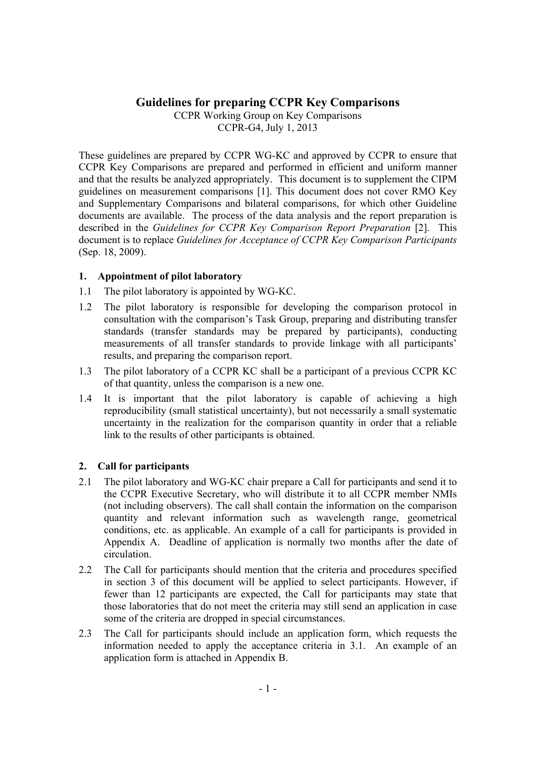# **Guidelines for preparing CCPR Key Comparisons**

CCPR Working Group on Key Comparisons CCPR-G4, July 1, 2013

These guidelines are prepared by CCPR WG-KC and approved by CCPR to ensure that CCPR Key Comparisons are prepared and performed in efficient and uniform manner and that the results be analyzed appropriately. This document is to supplement the CIPM guidelines on measurement comparisons [1]. This document does not cover RMO Key and Supplementary Comparisons and bilateral comparisons, for which other Guideline documents are available. The process of the data analysis and the report preparation is described in the *Guidelines for CCPR Key Comparison Report Preparation* [2]. This document is to replace *Guidelines for Acceptance of CCPR Key Comparison Participants* (Sep. 18, 2009).

### **1. Appointment of pilot laboratory**

- 1.1 The pilot laboratory is appointed by WG-KC.
- 1.2 The pilot laboratory is responsible for developing the comparison protocol in consultation with the comparison's Task Group, preparing and distributing transfer standards (transfer standards may be prepared by participants), conducting measurements of all transfer standards to provide linkage with all participants' results, and preparing the comparison report.
- 1.3 The pilot laboratory of a CCPR KC shall be a participant of a previous CCPR KC of that quantity, unless the comparison is a new one.
- 1.4 It is important that the pilot laboratory is capable of achieving a high reproducibility (small statistical uncertainty), but not necessarily a small systematic uncertainty in the realization for the comparison quantity in order that a reliable link to the results of other participants is obtained.

### **2. Call for participants**

- 2.1 The pilot laboratory and WG-KC chair prepare a Call for participants and send it to the CCPR Executive Secretary, who will distribute it to all CCPR member NMIs (not including observers). The call shall contain the information on the comparison quantity and relevant information such as wavelength range, geometrical conditions, etc. as applicable. An example of a call for participants is provided in Appendix A. Deadline of application is normally two months after the date of circulation.
- 2.2 The Call for participants should mention that the criteria and procedures specified in section 3 of this document will be applied to select participants. However, if fewer than 12 participants are expected, the Call for participants may state that those laboratories that do not meet the criteria may still send an application in case some of the criteria are dropped in special circumstances.
- 2.3 The Call for participants should include an application form, which requests the information needed to apply the acceptance criteria in 3.1. An example of an application form is attached in Appendix B.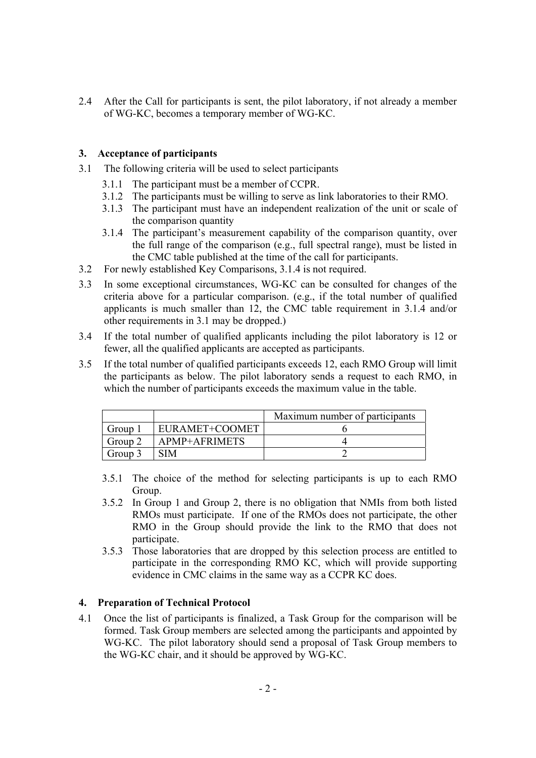2.4 After the Call for participants is sent, the pilot laboratory, if not already a member of WG-KC, becomes a temporary member of WG-KC.

## **3. Acceptance of participants**

- 3.1 The following criteria will be used to select participants
	- 3.1.1 The participant must be a member of CCPR.
	- 3.1.2 The participants must be willing to serve as link laboratories to their RMO.
	- 3.1.3 The participant must have an independent realization of the unit or scale of the comparison quantity
	- 3.1.4 The participant's measurement capability of the comparison quantity, over the full range of the comparison (e.g., full spectral range), must be listed in the CMC table published at the time of the call for participants.
- 3.2 For newly established Key Comparisons, 3.1.4 is not required.
- 3.3 In some exceptional circumstances, WG-KC can be consulted for changes of the criteria above for a particular comparison. (e.g., if the total number of qualified applicants is much smaller than 12, the CMC table requirement in 3.1.4 and/or other requirements in 3.1 may be dropped.)
- 3.4 If the total number of qualified applicants including the pilot laboratory is 12 or fewer, all the qualified applicants are accepted as participants.
- 3.5 If the total number of qualified participants exceeds 12, each RMO Group will limit the participants as below. The pilot laboratory sends a request to each RMO, in which the number of participants exceeds the maximum value in the table.

|         |                      | Maximum number of participants |
|---------|----------------------|--------------------------------|
| Group   | EURAMET+COOMET       |                                |
| Group 2 | <b>APMP+AFRIMETS</b> |                                |
| Group 3 | $\gamma$ IM          |                                |

- 3.5.1 The choice of the method for selecting participants is up to each RMO Group.
- 3.5.2 In Group 1 and Group 2, there is no obligation that NMIs from both listed RMOs must participate. If one of the RMOs does not participate, the other RMO in the Group should provide the link to the RMO that does not participate.
- 3.5.3 Those laboratories that are dropped by this selection process are entitled to participate in the corresponding RMO KC, which will provide supporting evidence in CMC claims in the same way as a CCPR KC does.

### **4. Preparation of Technical Protocol**

4.1 Once the list of participants is finalized, a Task Group for the comparison will be formed. Task Group members are selected among the participants and appointed by WG-KC. The pilot laboratory should send a proposal of Task Group members to the WG-KC chair, and it should be approved by WG-KC.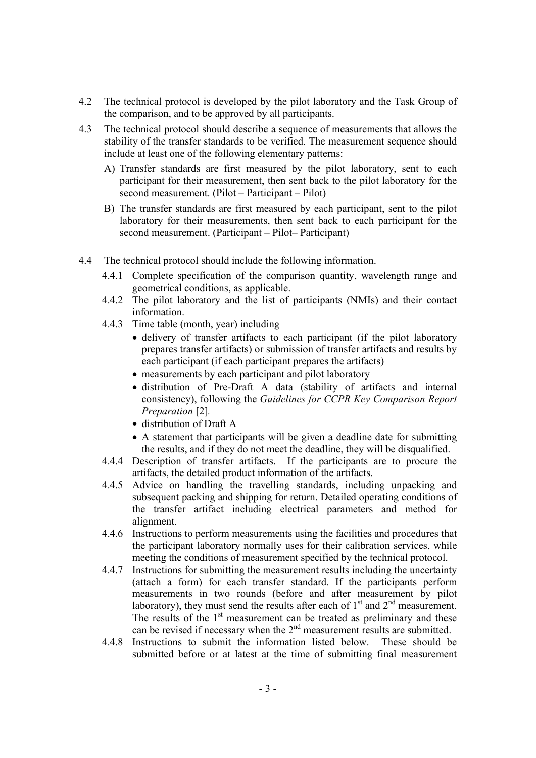- 4.2 The technical protocol is developed by the pilot laboratory and the Task Group of the comparison, and to be approved by all participants.
- 4.3 The technical protocol should describe a sequence of measurements that allows the stability of the transfer standards to be verified. The measurement sequence should include at least one of the following elementary patterns:
	- A) Transfer standards are first measured by the pilot laboratory, sent to each participant for their measurement, then sent back to the pilot laboratory for the second measurement. (Pilot – Participant – Pilot)
	- B) The transfer standards are first measured by each participant, sent to the pilot laboratory for their measurements, then sent back to each participant for the second measurement. (Participant – Pilot– Participant)
- 4.4 The technical protocol should include the following information.
	- 4.4.1 Complete specification of the comparison quantity, wavelength range and geometrical conditions, as applicable.
	- 4.4.2 The pilot laboratory and the list of participants (NMIs) and their contact information.
	- 4.4.3 Time table (month, year) including
		- delivery of transfer artifacts to each participant (if the pilot laboratory prepares transfer artifacts) or submission of transfer artifacts and results by each participant (if each participant prepares the artifacts)
		- measurements by each participant and pilot laboratory
		- distribution of Pre-Draft A data (stability of artifacts and internal consistency), following the *Guidelines for CCPR Key Comparison Report Preparation* [2]*.*
		- distribution of Draft A
		- A statement that participants will be given a deadline date for submitting the results, and if they do not meet the deadline, they will be disqualified.
	- 4.4.4 Description of transfer artifacts. If the participants are to procure the artifacts, the detailed product information of the artifacts.
	- 4.4.5 Advice on handling the travelling standards, including unpacking and subsequent packing and shipping for return. Detailed operating conditions of the transfer artifact including electrical parameters and method for alignment.
	- 4.4.6 Instructions to perform measurements using the facilities and procedures that the participant laboratory normally uses for their calibration services, while meeting the conditions of measurement specified by the technical protocol.
	- 4.4.7 Instructions for submitting the measurement results including the uncertainty (attach a form) for each transfer standard. If the participants perform measurements in two rounds (before and after measurement by pilot laboratory), they must send the results after each of  $1<sup>st</sup>$  and  $2<sup>nd</sup>$  measurement. The results of the  $1<sup>st</sup>$  measurement can be treated as preliminary and these can be revised if necessary when the  $2<sup>nd</sup>$  measurement results are submitted.
	- 4.4.8 Instructions to submit the information listed below. These should be submitted before or at latest at the time of submitting final measurement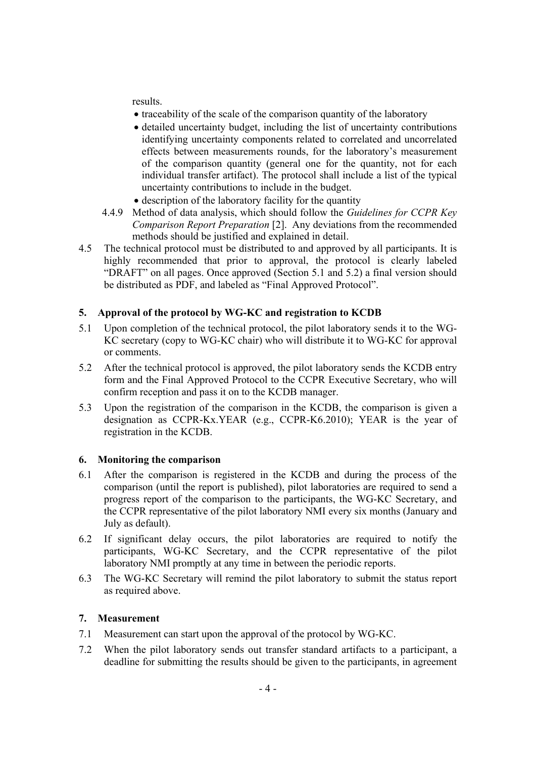results.

- traceability of the scale of the comparison quantity of the laboratory
- detailed uncertainty budget, including the list of uncertainty contributions identifying uncertainty components related to correlated and uncorrelated effects between measurements rounds, for the laboratory's measurement of the comparison quantity (general one for the quantity, not for each individual transfer artifact). The protocol shall include a list of the typical uncertainty contributions to include in the budget.
- description of the laboratory facility for the quantity
- 4.4.9 Method of data analysis, which should follow the *Guidelines for CCPR Key Comparison Report Preparation* [2]. Any deviations from the recommended methods should be justified and explained in detail.
- 4.5 The technical protocol must be distributed to and approved by all participants. It is highly recommended that prior to approval, the protocol is clearly labeled "DRAFT" on all pages. Once approved (Section 5.1 and 5.2) a final version should be distributed as PDF, and labeled as "Final Approved Protocol".

## **5. Approval of the protocol by WG-KC and registration to KCDB**

- 5.1 Upon completion of the technical protocol, the pilot laboratory sends it to the WG-KC secretary (copy to WG-KC chair) who will distribute it to WG-KC for approval or comments.
- 5.2 After the technical protocol is approved, the pilot laboratory sends the KCDB entry form and the Final Approved Protocol to the CCPR Executive Secretary, who will confirm reception and pass it on to the KCDB manager.
- 5.3 Upon the registration of the comparison in the KCDB, the comparison is given a designation as CCPR-Kx.YEAR (e.g., CCPR-K6.2010); YEAR is the year of registration in the KCDB.

### **6. Monitoring the comparison**

- 6.1 After the comparison is registered in the KCDB and during the process of the comparison (until the report is published), pilot laboratories are required to send a progress report of the comparison to the participants, the WG-KC Secretary, and the CCPR representative of the pilot laboratory NMI every six months (January and July as default).
- 6.2 If significant delay occurs, the pilot laboratories are required to notify the participants, WG-KC Secretary, and the CCPR representative of the pilot laboratory NMI promptly at any time in between the periodic reports.
- 6.3 The WG-KC Secretary will remind the pilot laboratory to submit the status report as required above.

## **7. Measurement**

- 7.1 Measurement can start upon the approval of the protocol by WG-KC.
- 7.2 When the pilot laboratory sends out transfer standard artifacts to a participant, a deadline for submitting the results should be given to the participants, in agreement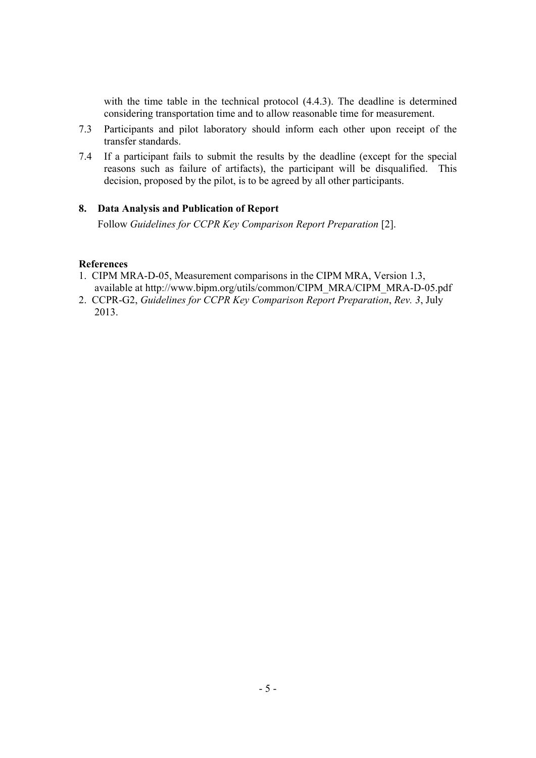with the time table in the technical protocol (4.4.3). The deadline is determined considering transportation time and to allow reasonable time for measurement.

- 7.3 Participants and pilot laboratory should inform each other upon receipt of the transfer standards.
- 7.4 If a participant fails to submit the results by the deadline (except for the special reasons such as failure of artifacts), the participant will be disqualified. This decision, proposed by the pilot, is to be agreed by all other participants.

## **8. Data Analysis and Publication of Report**

Follow *Guidelines for CCPR Key Comparison Report Preparation* [2].

### **References**

- 1. CIPM MRA-D-05, Measurement comparisons in the CIPM MRA, Version 1.3, available at http://www.bipm.org/utils/common/CIPM\_MRA/CIPM\_MRA-D-05.pdf
- 2. CCPR-G2, *Guidelines for CCPR Key Comparison Report Preparation*, *Rev. 3*, July 2013.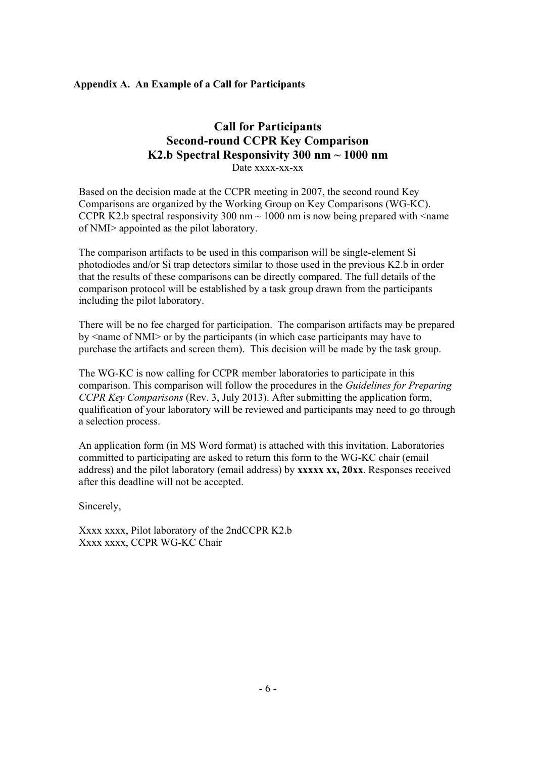## **Appendix A. An Example of a Call for Participants**

# **Call for Participants Second-round CCPR Key Comparison K2.b Spectral Responsivity 300 nm ~ 1000 nm**  Date xxxx-xx-xx

Based on the decision made at the CCPR meeting in 2007, the second round Key Comparisons are organized by the Working Group on Key Comparisons (WG-KC). CCPR K2.b spectral responsivity 300 nm  $\sim$  1000 nm is now being prepared with  $\le$ name of NMI> appointed as the pilot laboratory.

The comparison artifacts to be used in this comparison will be single-element Si photodiodes and/or Si trap detectors similar to those used in the previous K2.b in order that the results of these comparisons can be directly compared. The full details of the comparison protocol will be established by a task group drawn from the participants including the pilot laboratory.

There will be no fee charged for participation. The comparison artifacts may be prepared by <name of NMI> or by the participants (in which case participants may have to purchase the artifacts and screen them). This decision will be made by the task group.

The WG-KC is now calling for CCPR member laboratories to participate in this comparison. This comparison will follow the procedures in the *Guidelines for Preparing CCPR Key Comparisons* (Rev. 3, July 2013). After submitting the application form, qualification of your laboratory will be reviewed and participants may need to go through a selection process.

An application form (in MS Word format) is attached with this invitation. Laboratories committed to participating are asked to return this form to the WG-KC chair (email address) and the pilot laboratory (email address) by **xxxxx xx, 20xx**. Responses received after this deadline will not be accepted.

Sincerely,

Xxxx xxxx, Pilot laboratory of the 2ndCCPR K2.b Xxxx xxxx, CCPR WG-KC Chair